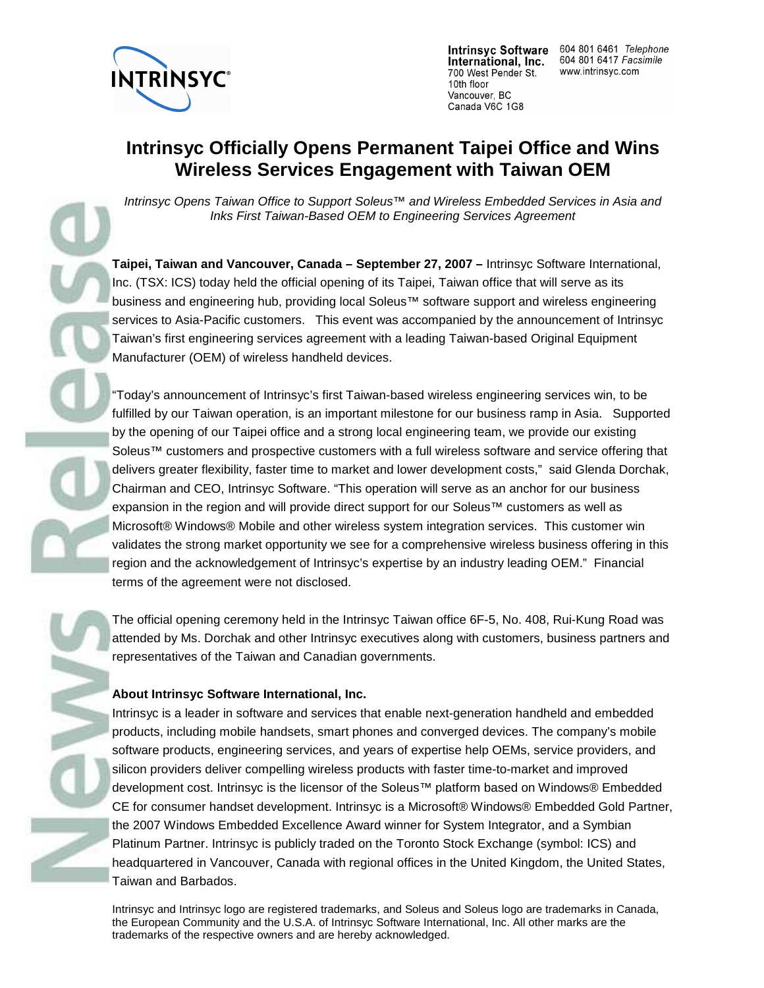

International, Inc. 700 West Pender St. 10th floor Vancouver, BC Canada V6C 1G8

Intrinsyc Software 604 801 6461 Telephone 604 801 6417 Facsimile www.intrinsyc.com

# **Intrinsyc Officially Opens Permanent Taipei Office and Wins Wireless Services Engagement with Taiwan OEM**

Intrinsyc Opens Taiwan Office to Support Soleus™ and Wireless Embedded Services in Asia and Inks First Taiwan-Based OEM to Engineering Services Agreement

**Taipei, Taiwan and Vancouver, Canada – September 27, 2007 –** Intrinsyc Software International, Inc. (TSX: ICS) today held the official opening of its Taipei, Taiwan office that will serve as its business and engineering hub, providing local Soleus™ software support and wireless engineering services to Asia-Pacific customers. This event was accompanied by the announcement of Intrinsyc Taiwan's first engineering services agreement with a leading Taiwan-based Original Equipment Manufacturer (OEM) of wireless handheld devices.

"Today's announcement of Intrinsyc's first Taiwan-based wireless engineering services win, to be fulfilled by our Taiwan operation, is an important milestone for our business ramp in Asia. Supported by the opening of our Taipei office and a strong local engineering team, we provide our existing Soleus™ customers and prospective customers with a full wireless software and service offering that delivers greater flexibility, faster time to market and lower development costs," said Glenda Dorchak, Chairman and CEO, Intrinsyc Software. "This operation will serve as an anchor for our business expansion in the region and will provide direct support for our Soleus™ customers as well as Microsoft® Windows® Mobile and other wireless system integration services. This customer win validates the strong market opportunity we see for a comprehensive wireless business offering in this region and the acknowledgement of Intrinsyc's expertise by an industry leading OEM." Financial terms of the agreement were not disclosed.

The official opening ceremony held in the Intrinsyc Taiwan office 6F-5, No. 408, Rui-Kung Road was attended by Ms. Dorchak and other Intrinsyc executives along with customers, business partners and representatives of the Taiwan and Canadian governments.

## **About Intrinsyc Software International, Inc.**

Intrinsyc is a leader in software and services that enable next-generation handheld and embedded products, including mobile handsets, smart phones and converged devices. The company's mobile software products, engineering services, and years of expertise help OEMs, service providers, and silicon providers deliver compelling wireless products with faster time-to-market and improved development cost. Intrinsyc is the licensor of the Soleus™ platform based on Windows® Embedded CE for consumer handset development. Intrinsyc is a Microsoft® Windows® Embedded Gold Partner, the 2007 Windows Embedded Excellence Award winner for System Integrator, and a Symbian Platinum Partner. Intrinsyc is publicly traded on the Toronto Stock Exchange (symbol: ICS) and headquartered in Vancouver, Canada with regional offices in the United Kingdom, the United States, Taiwan and Barbados.

Intrinsyc and Intrinsyc logo are registered trademarks, and Soleus and Soleus logo are trademarks in Canada, the European Community and the U.S.A. of Intrinsyc Software International, Inc. All other marks are the trademarks of the respective owners and are hereby acknowledged.